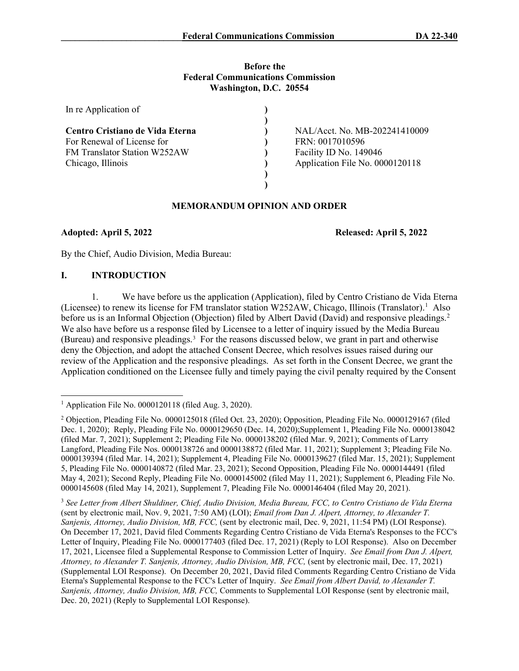## **Before the Federal Communications Commission Washington, D.C. 20554**

| In re Application of            |                                 |
|---------------------------------|---------------------------------|
|                                 |                                 |
| Centro Cristiano de Vida Eterna | NAL/Acct. No. MB-202241410009   |
| For Renewal of License for      | FRN: 0017010596                 |
| FM Translator Station W252AW    | Facility ID No. 149046          |
| Chicago, Illinois               | Application File No. 0000120118 |
|                                 |                                 |
|                                 |                                 |

# **MEMORANDUM OPINION AND ORDER**

**Adopted: April 5, 2022 Released: April 5, 2022**

By the Chief, Audio Division, Media Bureau:

# **I. INTRODUCTION**

1. We have before us the application (Application), filed by Centro Cristiano de Vida Eterna (Licensee) to renew its license for FM translator station W252AW, Chicago, Illinois (Translator).<sup>[1](#page-0-0)</sup> Also before us is an Informal Objection (Objection) filed by Albert David (David) and responsive pleadings.<sup>[2](#page-0-1)</sup> We also have before us a response filed by Licensee to a letter of inquiry issued by the Media Bureau (Bureau) and responsive pleadings.<sup>[3](#page-0-2)</sup> For the reasons discussed below, we grant in part and otherwise deny the Objection, and adopt the attached Consent Decree, which resolves issues raised during our review of the Application and the responsive pleadings. As set forth in the Consent Decree, we grant the Application conditioned on the Licensee fully and timely paying the civil penalty required by the Consent

<span id="page-0-2"></span><sup>3</sup> *See Letter from Albert Shuldiner, Chief, Audio Division, Media Bureau, FCC, to Centro Cristiano de Vida Eterna* (sent by electronic mail, Nov. 9, 2021, 7:50 AM) (LOI); *Email from Dan J. Alpert, Attorney, to Alexander T. Sanjenis, Attorney, Audio Division, MB, FCC,* (sent by electronic mail, Dec. 9, 2021, 11:54 PM) (LOI Response). On December 17, 2021, David filed Comments Regarding Centro Cristiano de Vida Eterna's Responses to the FCC's Letter of Inquiry, Pleading File No. 0000177403 (filed Dec. 17, 2021) (Reply to LOI Response). Also on December 17, 2021, Licensee filed a Supplemental Response to Commission Letter of Inquiry. *See Email from Dan J. Alpert, Attorney, to Alexander T. Sanjenis, Attorney, Audio Division, MB, FCC,* (sent by electronic mail, Dec. 17, 2021) (Supplemental LOI Response). On December 20, 2021, David filed Comments Regarding Centro Cristiano de Vida Eterna's Supplemental Response to the FCC's Letter of Inquiry. *See Email from Albert David, to Alexander T. Sanjenis, Attorney, Audio Division, MB, FCC,* Comments to Supplemental LOI Response (sent by electronic mail, Dec. 20, 2021) (Reply to Supplemental LOI Response).

<span id="page-0-0"></span><sup>&</sup>lt;sup>1</sup> Application File No. 0000120118 (filed Aug. 3, 2020).

<span id="page-0-1"></span><sup>&</sup>lt;sup>2</sup> Objection, Pleading File No. 0000125018 (filed Oct. 23, 2020); Opposition, Pleading File No. 0000129167 (filed Dec. 1, 2020); Reply, Pleading File No. 0000129650 (Dec. 14, 2020);Supplement 1, Pleading File No. 0000138042 (filed Mar. 7, 2021); Supplement 2; Pleading File No. 0000138202 (filed Mar. 9, 2021); Comments of Larry Langford, Pleading File Nos. 0000138726 and 0000138872 (filed Mar. 11, 2021); Supplement 3; Pleading File No. 0000139394 (filed Mar. 14, 2021); Supplement 4, Pleading File No. 0000139627 (filed Mar. 15, 2021); Supplement 5, Pleading File No. 0000140872 (filed Mar. 23, 2021); Second Opposition, Pleading File No. 0000144491 (filed May 4, 2021); Second Reply, Pleading File No. 0000145002 (filed May 11, 2021); Supplement 6, Pleading File No. 0000145608 (filed May 14, 2021), Supplement 7, Pleading File No. 0000146404 (filed May 20, 2021).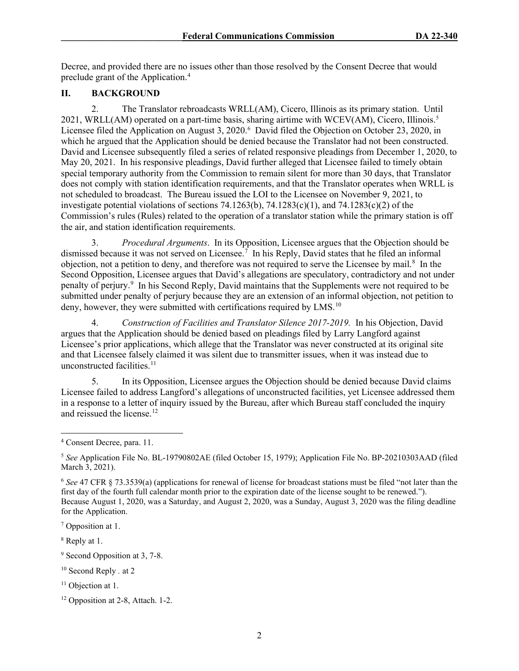Decree, and provided there are no issues other than those resolved by the Consent Decree that would preclude grant of the Application.[4](#page-1-0)

# **II. BACKGROUND**

2. The Translator rebroadcasts WRLL(AM), Cicero, Illinois as its primary station. Until 2021, WRLL(AM) operated on a part-time basis, sharing airtime with WCEV(AM), Cicero, Illinois.[5](#page-1-1) Licensee filed the Application on August 3, 2020.<sup>[6](#page-1-2)</sup> David filed the Objection on October 23, 2020, in which he argued that the Application should be denied because the Translator had not been constructed. David and Licensee subsequently filed a series of related responsive pleadings from December 1, 2020, to May 20, 2021. In his responsive pleadings, David further alleged that Licensee failed to timely obtain special temporary authority from the Commission to remain silent for more than 30 days, that Translator does not comply with station identification requirements, and that the Translator operates when WRLL is not scheduled to broadcast. The Bureau issued the LOI to the Licensee on November 9, 2021, to investigate potential violations of sections 74.1263(b), 74.1283(c)(1), and 74.1283(c)(2) of the Commission's rules (Rules) related to the operation of a translator station while the primary station is off the air, and station identification requirements.

3. *Procedural Arguments*. In its Opposition, Licensee argues that the Objection should be dismissed because it was not served on Licensee. [7](#page-1-3) In his Reply, David states that he filed an informal objection, not a petition to deny, and therefore was not required to serve the Licensee by mail.<sup>[8](#page-1-4)</sup> In the Second Opposition, Licensee argues that David's allegations are speculatory, contradictory and not under penalty of perjury. [9](#page-1-5) In his Second Reply, David maintains that the Supplements were not required to be submitted under penalty of perjury because they are an extension of an informal objection, not petition to deny, however, they were submitted with certifications required by LMS.<sup>[10](#page-1-6)</sup>

4. *Construction of Facilities and Translator Silence 2017-2019.* In his Objection, David argues that the Application should be denied based on pleadings filed by Larry Langford against Licensee's prior applications, which allege that the Translator was never constructed at its original site and that Licensee falsely claimed it was silent due to transmitter issues, when it was instead due to unconstructed facilities. $11$ 

5. In its Opposition, Licensee argues the Objection should be denied because David claims Licensee failed to address Langford's allegations of unconstructed facilities, yet Licensee addressed them in a response to a letter of inquiry issued by the Bureau, after which Bureau staff concluded the inquiry and reissued the license.<sup>12</sup>

<span id="page-1-6"></span><sup>10</sup> Second Reply *.* at 2

<span id="page-1-0"></span><sup>4</sup> Consent Decree, para. 11.

<span id="page-1-1"></span><sup>5</sup> *See* Application File No. BL-19790802AE (filed October 15, 1979); Application File No. BP-20210303AAD (filed March 3, 2021).

<span id="page-1-2"></span><sup>6</sup> *See* 47 CFR § 73.3539(a) (applications for renewal of license for broadcast stations must be filed "not later than the first day of the fourth full calendar month prior to the expiration date of the license sought to be renewed."). Because August 1, 2020, was a Saturday, and August 2, 2020, was a Sunday, August 3, 2020 was the filing deadline for the Application.

<span id="page-1-3"></span><sup>7</sup> Opposition at 1.

<span id="page-1-4"></span><sup>8</sup> Reply at 1.

<span id="page-1-5"></span><sup>&</sup>lt;sup>9</sup> Second Opposition at 3, 7-8.

<span id="page-1-7"></span><sup>&</sup>lt;sup>11</sup> Objection at 1.

<span id="page-1-8"></span><sup>&</sup>lt;sup>12</sup> Opposition at 2-8, Attach. 1-2.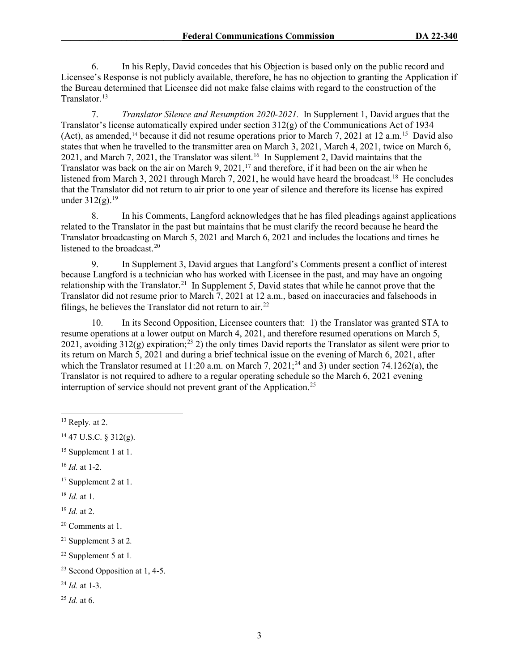6. In his Reply, David concedes that his Objection is based only on the public record and Licensee's Response is not publicly available, therefore, he has no objection to granting the Application if the Bureau determined that Licensee did not make false claims with regard to the construction of the Translator.<sup>13</sup>

7. *Translator Silence and Resumption 2020-2021.* In Supplement 1, David argues that the Translator's license automatically expired under section  $312(g)$  of the Communications Act of 1934 (Act), as amended,<sup>[14](#page-2-1)</sup> because it did not resume operations prior to March 7, 2021 at 12 a.m.<sup>15</sup> David also states that when he travelled to the transmitter area on March 3, 2021, March 4, 2021, twice on March 6, 2021, and March 7, 2021, the Translator was silent.<sup>[16](#page-2-3)</sup> In Supplement 2, David maintains that the Translator was back on the air on March 9, 2021,<sup>[17](#page-2-4)</sup> and therefore, if it had been on the air when he listened from March 3, 2021 through March 7, 2021, he would have heard the broadcast.<sup>18</sup> He concludes that the Translator did not return to air prior to one year of silence and therefore its license has expired under  $312(g)$ .<sup>19</sup>

8. In his Comments, Langford acknowledges that he has filed pleadings against applications related to the Translator in the past but maintains that he must clarify the record because he heard the Translator broadcasting on March 5, 2021 and March 6, 2021 and includes the locations and times he listened to the broadcast.<sup>[20](#page-2-7)</sup>

9. In Supplement 3, David argues that Langford's Comments present a conflict of interest because Langford is a technician who has worked with Licensee in the past, and may have an ongoing relationship with the Translator.<sup>[21](#page-2-8)</sup> In Supplement 5, David states that while he cannot prove that the Translator did not resume prior to March 7, 2021 at 12 a.m., based on inaccuracies and falsehoods in filings, he believes the Translator did not return to  $\ar{a}$ <sup>22</sup>

10. In its Second Opposition, Licensee counters that: 1) the Translator was granted STA to resume operations at a lower output on March 4, 2021, and therefore resumed operations on March 5, 2021, avoiding  $312(g)$  expiration;<sup>[23](#page-2-10)</sup> 2) the only times David reports the Translator as silent were prior to its return on March 5, 2021 and during a brief technical issue on the evening of March 6, 2021, after which the Translator resumed at 11:20 a.m. on March 7, 2021;<sup>[24](#page-2-11)</sup> and 3) under section 74.1262(a), the Translator is not required to adhere to a regular operating schedule so the March 6, 2021 evening interruption of service should not prevent grant of the Application.<sup>25</sup>

<span id="page-2-5"></span><sup>18</sup> *Id.* at 1.

<span id="page-2-9"></span><sup>22</sup> Supplement 5 at 1*.*

<span id="page-2-0"></span><sup>13</sup> Reply*.* at 2.

<span id="page-2-1"></span> $14$  47 U.S.C. § 312(g).

<span id="page-2-2"></span><sup>&</sup>lt;sup>15</sup> Supplement 1 at 1.

<span id="page-2-3"></span><sup>16</sup> *Id.* at 1-2.

<span id="page-2-4"></span><sup>&</sup>lt;sup>17</sup> Supplement 2 at 1.

<span id="page-2-6"></span><sup>19</sup> *Id.* at 2.

<span id="page-2-7"></span><sup>20</sup> Comments at 1.

<span id="page-2-8"></span><sup>21</sup> Supplement 3 at 2*.*

<span id="page-2-10"></span><sup>23</sup> Second Opposition at 1, 4-5.

<span id="page-2-11"></span><sup>24</sup> *Id.* at 1-3.

<span id="page-2-12"></span><sup>25</sup> *Id.* at 6.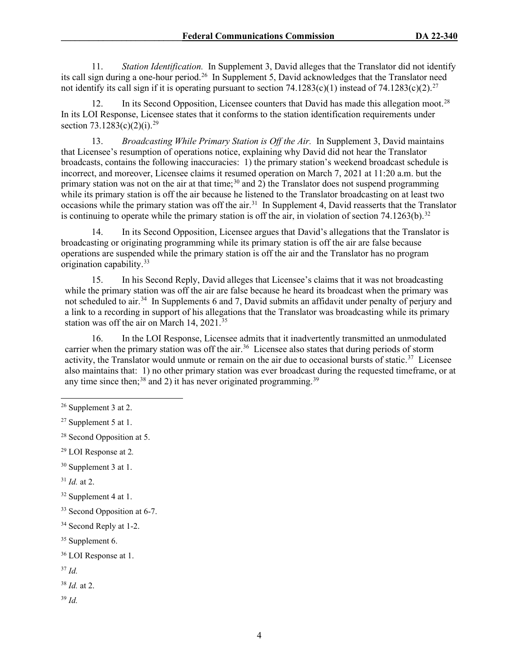11. *Station Identification.* In Supplement 3, David alleges that the Translator did not identify its call sign during a one-hour period.<sup>26</sup> In Supplement 5, David acknowledges that the Translator need not identify its call sign if it is operating pursuant to section 74.1283(c)(1) instead of 74.1283(c)(2).<sup>27</sup>

12. In its Second Opposition, Licensee counters that David has made this allegation moot.<sup>[28](#page-3-2)</sup> In its LOI Response, Licensee states that it conforms to the station identification requirements under section  $73.1283(c)(2)(i).^{29}$  $73.1283(c)(2)(i).^{29}$  $73.1283(c)(2)(i).^{29}$ 

13. *Broadcasting While Primary Station is Off the Air.* In Supplement 3, David maintains that Licensee's resumption of operations notice, explaining why David did not hear the Translator broadcasts, contains the following inaccuracies: 1) the primary station's weekend broadcast schedule is incorrect, and moreover, Licensee claims it resumed operation on March 7, 2021 at 11:20 a.m. but the primary station was not on the air at that time;<sup>[30](#page-3-4)</sup> and  $2)$  the Translator does not suspend programming while its primary station is off the air because he listened to the Translator broadcasting on at least two occasions while the primary station was off the air.<sup>31</sup> In Supplement 4, David reasserts that the Translator is continuing to operate while the primary station is off the air, in violation of section 74.1263(b).<sup>[32](#page-3-6)</sup>

14. In its Second Opposition, Licensee argues that David's allegations that the Translator is broadcasting or originating programming while its primary station is off the air are false because operations are suspended while the primary station is off the air and the Translator has no program origination capability.[33](#page-3-7) 

15. In his Second Reply, David alleges that Licensee's claims that it was not broadcasting while the primary station was off the air are false because he heard its broadcast when the primary was not scheduled to air.<sup>[34](#page-3-8)</sup> In Supplements 6 and 7, David submits an affidavit under penalty of perjury and a link to a recording in support of his allegations that the Translator was broadcasting while its primary station was off the air on March 14, 2021.[35](#page-3-9) 

16. In the LOI Response, Licensee admits that it inadvertently transmitted an unmodulated carrier when the primary station was off the air.<sup>36</sup> Licensee also states that during periods of storm activity, the Translator would unmute or remain on the air due to occasional bursts of static.<sup>[37](#page-3-11)</sup> Licensee also maintains that: 1) no other primary station was ever broadcast during the requested timeframe, or at any time since then;<sup>[38](#page-3-12)</sup> and 2) it has never originated programming.<sup>[39](#page-3-13)</sup>

<span id="page-3-4"></span><sup>30</sup> Supplement 3 at 1.

<span id="page-3-5"></span><sup>31</sup> *Id.* at 2.

- <span id="page-3-6"></span><sup>32</sup> Supplement 4 at 1.
- <span id="page-3-7"></span><sup>33</sup> Second Opposition at 6-7.
- <span id="page-3-8"></span><sup>34</sup> Second Reply at 1-2.
- <span id="page-3-9"></span><sup>35</sup> Supplement 6.
- <span id="page-3-10"></span><sup>36</sup> LOI Response at 1.

<span id="page-3-11"></span><sup>37</sup> *Id.*

<span id="page-3-12"></span><sup>38</sup> *Id.* at 2.

<span id="page-3-13"></span><sup>39</sup> *Id.*

<span id="page-3-0"></span><sup>26</sup> Supplement 3 at 2.

<span id="page-3-1"></span><sup>27</sup> Supplement 5 at 1.

<span id="page-3-2"></span><sup>28</sup> Second Opposition at 5.

<span id="page-3-3"></span><sup>29</sup> LOI Response at 2*.*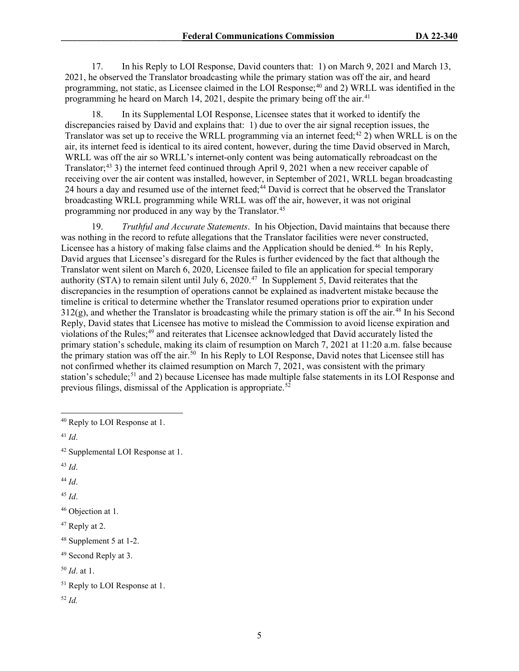17. In his Reply to LOI Response, David counters that: 1) on March 9, 2021 and March 13, 2021, he observed the Translator broadcasting while the primary station was off the air, and heard programming, not static, as Licensee claimed in the LOI Response;  $40$  and 2) WRLL was identified in the programming he heard on March 14, 2021, despite the primary being off the air.<sup>[41](#page-4-1)</sup>

18. In its Supplemental LOI Response, Licensee states that it worked to identify the discrepancies raised by David and explains that: 1) due to over the air signal reception issues, the Translator was set up to receive the WRLL programming via an internet feed;<sup>[42](#page-4-2)</sup> 2) when WRLL is on the air, its internet feed is identical to its aired content, however, during the time David observed in March, WRLL was off the air so WRLL's internet-only content was being automatically rebroadcast on the Translator; [43](#page-4-3) 3) the internet feed continued through April 9, 2021 when a new receiver capable of receiving over the air content was installed, however, in September of 2021, WRLL began broadcasting 24 hours a day and resumed use of the internet feed;<sup>[44](#page-4-4)</sup> David is correct that he observed the Translator broadcasting WRLL programming while WRLL was off the air, however, it was not original programming nor produced in any way by the Translator.<sup>[45](#page-4-5)</sup>

19. *Truthful and Accurate Statements*. In his Objection, David maintains that because there was nothing in the record to refute allegations that the Translator facilities were never constructed, Licensee has a history of making false claims and the Application should be denied.<sup>[46](#page-4-6)</sup> In his Reply, David argues that Licensee's disregard for the Rules is further evidenced by the fact that although the Translator went silent on March 6, 2020, Licensee failed to file an application for special temporary authority (STA) to remain silent until July 6, 2020.<sup>47</sup> In Supplement 5, David reiterates that the discrepancies in the resumption of operations cannot be explained as inadvertent mistake because the timeline is critical to determine whether the Translator resumed operations prior to expiration under  $312(g)$ , and whether the Translator is broadcasting while the primary station is off the air.<sup>[48](#page-4-8)</sup> In his Second Reply, David states that Licensee has motive to mislead the Commission to avoid license expiration and violations of the Rules;<sup>[49](#page-4-9)</sup> and reiterates that Licensee acknowledged that David accurately listed the primary station's schedule, making its claim of resumption on March 7, 2021 at 11:20 a.m. false because the primary station was off the air.<sup>[50](#page-4-10)</sup> In his Reply to LOI Response, David notes that Licensee still has not confirmed whether its claimed resumption on March 7, 2021, was consistent with the primary station's schedule;<sup>[51](#page-4-11)</sup> and 2) because Licensee has made multiple false statements in its LOI Response and previous filings, dismissal of the Application is appropriate.<sup>[52](#page-4-12)</sup>

<span id="page-4-4"></span><sup>44</sup> *Id*.

<span id="page-4-5"></span><sup>45</sup> *Id*.

```
46 Objection at 1.
```
<span id="page-4-7"></span> $47$  Reply at 2.

<span id="page-4-0"></span><sup>40</sup> Reply to LOI Response at 1.

<span id="page-4-1"></span><sup>41</sup> *Id*.

<span id="page-4-2"></span><sup>42</sup> Supplemental LOI Response at 1.

<span id="page-4-3"></span><sup>43</sup> *Id*.

<span id="page-4-8"></span><sup>48</sup> Supplement 5 at 1-2.

<span id="page-4-9"></span><sup>49</sup> Second Reply at 3.

<span id="page-4-10"></span><sup>50</sup> *Id*. at 1.

<span id="page-4-11"></span><sup>&</sup>lt;sup>51</sup> Reply to LOI Response at 1.

<span id="page-4-12"></span><sup>52</sup> *Id.*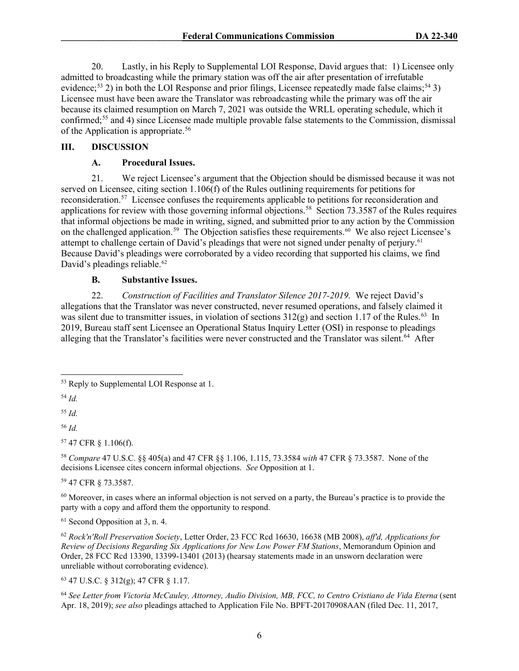20. Lastly, in his Reply to Supplemental LOI Response, David argues that: 1) Licensee only admitted to broadcasting while the primary station was off the air after presentation of irrefutable evidence;<sup>[53](#page-5-0)</sup> 2) in both the LOI Response and prior filings, Licensee repeatedly made false claims;<sup>[54](#page-5-1)</sup> 3) Licensee must have been aware the Translator was rebroadcasting while the primary was off the air because its claimed resumption on March 7, 2021 was outside the WRLL operating schedule, which it confirmed;[55](#page-5-2) and 4) since Licensee made multiple provable false statements to the Commission, dismissal of the Application is appropriate.<sup>[56](#page-5-3)</sup>

## **III. DISCUSSION**

# **A. Procedural Issues.**

21. We reject Licensee's argument that the Objection should be dismissed because it was not served on Licensee, citing section 1.106(f) of the Rules outlining requirements for petitions for reconsideration.<sup>[57](#page-5-4)</sup> Licensee confuses the requirements applicable to petitions for reconsideration and applications for review with those governing informal objections.<sup>58</sup> Section 73.3587 of the Rules requires that informal objections be made in writing, signed, and submitted prior to any action by the Commission on the challenged application.<sup>59</sup> The Objection satisfies these requirements.<sup>60</sup> We also reject Licensee's attempt to challenge certain of David's pleadings that were not signed under penalty of perjury.<sup>[61](#page-5-8)</sup> Because David's pleadings were corroborated by a video recording that supported his claims, we find David's pleadings reliable.<sup>[62](#page-5-9)</sup>

# **B. Substantive Issues.**

22. *Construction of Facilities and Translator Silence 2017-2019.* We reject David's allegations that the Translator was never constructed, never resumed operations, and falsely claimed it was silent due to transmitter issues, in violation of sections  $312(g)$  and section 1.17 of the Rules.<sup>63</sup> In 2019, Bureau staff sent Licensee an Operational Status Inquiry Letter (OSI) in response to pleadings alleging that the Translator's facilities were never constructed and the Translator was silent.<sup>64</sup> After

<span id="page-5-1"></span><sup>54</sup> *Id.*

<span id="page-5-2"></span><sup>55</sup> *Id.*

<span id="page-5-3"></span><sup>56</sup> *Id.*

<span id="page-5-4"></span><sup>57</sup> 47 CFR § 1.106(f).

<span id="page-5-5"></span><sup>58</sup> *Compare* 47 U.S.C. §§ 405(a) and 47 CFR §§ 1.106, 1.115, 73.3584 *with* 47 CFR § 73.3587. None of the decisions Licensee cites concern informal objections. *See* Opposition at 1.

<span id="page-5-6"></span><sup>59</sup> 47 CFR § 73.3587.

<span id="page-5-7"></span> $60$  Moreover, in cases where an informal objection is not served on a party, the Bureau's practice is to provide the party with a copy and afford them the opportunity to respond.

<span id="page-5-8"></span> $61$  Second Opposition at 3, n. 4.

<span id="page-5-9"></span><sup>62</sup> *Rock'n'Roll Preservation Society*, Letter Order, 23 FCC Rcd 16630, 16638 (MB 2008), *aff'd, Applications for Review of Decisions Regarding Six Applications for New Low Power FM Stations*, Memorandum Opinion and Order, 28 FCC Rcd 13390, 13399-13401 (2013) (hearsay statements made in an unsworn declaration were unreliable without corroborating evidence).

<span id="page-5-10"></span><sup>63</sup> 47 U.S.C. § 312(g); 47 CFR § 1.17.

<span id="page-5-11"></span><sup>64</sup> See Letter from Victoria McCauley, Attorney, Audio Division, MB, FCC, to Centro Cristiano de Vida Eterna (sent Apr. 18, 2019); *see also* pleadings attached to Application File No. BPFT-20170908AAN (filed Dec. 11, 2017,

<span id="page-5-0"></span><sup>53</sup> Reply to Supplemental LOI Response at 1.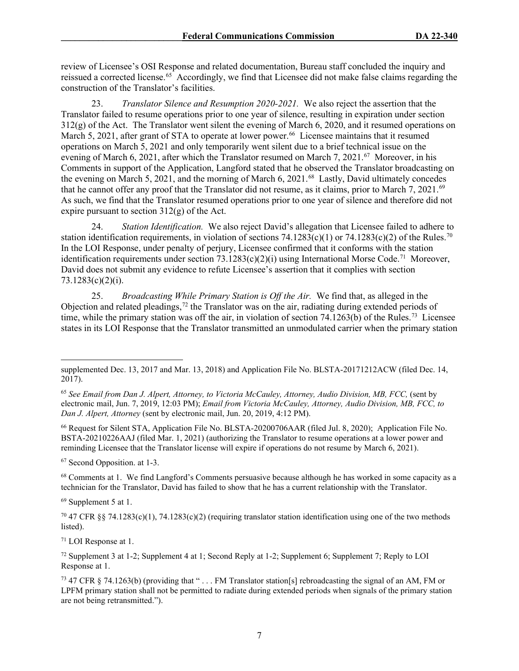review of Licensee's OSI Response and related documentation, Bureau staff concluded the inquiry and reissued a corrected license.[65](#page-6-0) Accordingly, we find that Licensee did not make false claims regarding the construction of the Translator's facilities.

23. *Translator Silence and Resumption 2020-2021.* We also reject the assertion that the Translator failed to resume operations prior to one year of silence, resulting in expiration under section  $312(g)$  of the Act. The Translator went silent the evening of March 6, 2020, and it resumed operations on March 5, 2021, after grant of STA to operate at lower power.<sup>[66](#page-6-1)</sup> Licensee maintains that it resumed operations on March 5, 2021 and only temporarily went silent due to a brief technical issue on the evening of March 6, 2021, after which the Translator resumed on March 7, 2021.<sup>67</sup> Moreover, in his Comments in support of the Application, Langford stated that he observed the Translator broadcasting on the evening on March 5, 2021, and the morning of March 6, 2021.<sup>68</sup> Lastly, David ultimately concedes that he cannot offer any proof that the Translator did not resume, as it claims, prior to March 7, 2021.<sup>[69](#page-6-4)</sup> As such, we find that the Translator resumed operations prior to one year of silence and therefore did not expire pursuant to section  $312(g)$  of the Act.

24. *Station Identification.* We also reject David's allegation that Licensee failed to adhere to station identification requirements, in violation of sections  $74.1283(c)(1)$  or  $74.1283(c)(2)$  of the Rules.<sup>[70](#page-6-5)</sup> In the LOI Response, under penalty of perjury, Licensee confirmed that it conforms with the station identification requirements under section  $73.1283(c)(2)(i)$  using International Morse Code.<sup>[71](#page-6-6)</sup> Moreover, David does not submit any evidence to refute Licensee's assertion that it complies with section 73.1283(c)(2)(i).

25. *Broadcasting While Primary Station is Off the Air.* We find that, as alleged in the Objection and related pleadings,<sup>[72](#page-6-7)</sup> the Translator was on the air, radiating during extended periods of time, while the primary station was off the air, in violation of section 74.1263(b) of the Rules.<sup>73</sup> Licensee states in its LOI Response that the Translator transmitted an unmodulated carrier when the primary station

<span id="page-6-1"></span><sup>66</sup> Request for Silent STA, Application File No. BLSTA-20200706AAR (filed Jul. 8, 2020); Application File No. BSTA-20210226AAJ (filed Mar. 1, 2021) (authorizing the Translator to resume operations at a lower power and reminding Licensee that the Translator license will expire if operations do not resume by March 6, 2021).

<span id="page-6-2"></span><sup>67</sup> Second Opposition. at 1-3.

<span id="page-6-3"></span><sup>68</sup> Comments at 1. We find Langford's Comments persuasive because although he has worked in some capacity as a technician for the Translator, David has failed to show that he has a current relationship with the Translator.

<span id="page-6-4"></span><sup>69</sup> Supplement 5 at 1.

<span id="page-6-5"></span><sup>70</sup> 47 CFR §§ 74.1283(c)(1), 74.1283(c)(2) (requiring translator station identification using one of the two methods listed).

<span id="page-6-6"></span><sup>71</sup> LOI Response at 1.

<span id="page-6-7"></span><sup>72</sup> Supplement 3 at 1-2; Supplement 4 at 1; Second Reply at 1-2; Supplement 6; Supplement 7; Reply to LOI Response at 1.

<span id="page-6-8"></span><sup>73</sup> 47 CFR § 74.1263(b) (providing that "... FM Translator station[s] rebroadcasting the signal of an AM, FM or LPFM primary station shall not be permitted to radiate during extended periods when signals of the primary station are not being retransmitted.").

supplemented Dec. 13, 2017 and Mar. 13, 2018) and Application File No. BLSTA-20171212ACW (filed Dec. 14, 2017).

<span id="page-6-0"></span><sup>65</sup> *See Email from Dan J. Alpert, Attorney, to Victoria McCauley, Attorney, Audio Division, MB, FCC,* (sent by electronic mail, Jun. 7, 2019, 12:03 PM); *Email from Victoria McCauley, Attorney, Audio Division, MB, FCC, to Dan J. Alpert, Attorney* (sent by electronic mail, Jun. 20, 2019, 4:12 PM).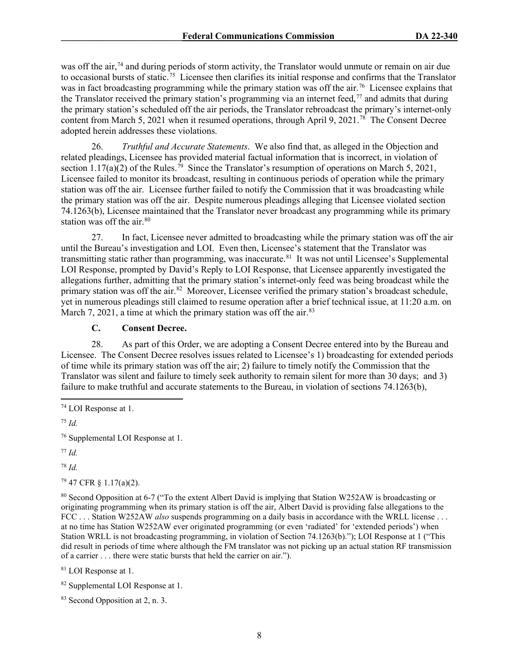was off the air,<sup>74</sup> and during periods of storm activity, the Translator would unmute or remain on air due to occasional bursts of static.[75](#page-7-1) Licensee then clarifies its initial response and confirms that the Translator was in fact broadcasting programming while the primary station was off the air.<sup>76</sup> Licensee explains that the Translator received the primary station's programming via an internet feed,<sup>[77](#page-7-3)</sup> and admits that during the primary station's scheduled off the air periods, the Translator rebroadcast the primary's internet-only content from March 5, 2021 when it resumed operations, through April 9, 2021.<sup>78</sup> The Consent Decree adopted herein addresses these violations.

26. *Truthful and Accurate Statements*. We also find that, as alleged in the Objection and related pleadings, Licensee has provided material factual information that is incorrect, in violation of section 1.17(a)(2) of the Rules.<sup>79</sup> Since the Translator's resumption of operations on March 5, 2021, Licensee failed to monitor its broadcast, resulting in continuous periods of operation while the primary station was off the air. Licensee further failed to notify the Commission that it was broadcasting while the primary station was off the air. Despite numerous pleadings alleging that Licensee violated section 74.1263(b), Licensee maintained that the Translator never broadcast any programming while its primary station was off the air. [80](#page-7-6)

27. In fact, Licensee never admitted to broadcasting while the primary station was off the air until the Bureau's investigation and LOI. Even then, Licensee's statement that the Translator was transmitting static rather than programming, was inaccurate.<sup>81</sup> It was not until Licensee's Supplemental LOI Response, prompted by David's Reply to LOI Response, that Licensee apparently investigated the allegations further, admitting that the primary station's internet-only feed was being broadcast while the primary station was off the air.<sup>[82](#page-7-8)</sup> Moreover, Licensee verified the primary station's broadcast schedule, yet in numerous pleadings still claimed to resume operation after a brief technical issue, at 11:20 a.m. on March 7, 2021, a time at which the primary station was off the air.  $83$ 

## **C. Consent Decree.**

28. As part of this Order, we are adopting a Consent Decree entered into by the Bureau and Licensee. The Consent Decree resolves issues related to Licensee's 1) broadcasting for extended periods of time while its primary station was off the air; 2) failure to timely notify the Commission that the Translator was silent and failure to timely seek authority to remain silent for more than 30 days; and 3) failure to make truthful and accurate statements to the Bureau, in violation of sections 74.1263(b),

<span id="page-7-2"></span><sup>76</sup> Supplemental LOI Response at 1.

<span id="page-7-3"></span><sup>77</sup> *Id.*

<span id="page-7-4"></span><sup>78</sup> *Id.*

<span id="page-7-5"></span><sup>79</sup> 47 CFR § 1.17(a)(2).

<span id="page-7-6"></span><sup>80</sup> Second Opposition at 6-7 ("To the extent Albert David is implying that Station W252AW is broadcasting or originating programming when its primary station is off the air, Albert David is providing false allegations to the FCC . . . Station W252AW *also* suspends programming on a daily basis in accordance with the WRLL license . . . at no time has Station W252AW ever originated programming (or even 'radiated' for 'extended periods') when Station WRLL is not broadcasting programming, in violation of Section 74.1263(b)."); LOI Response at 1 ("This did result in periods of time where although the FM translator was not picking up an actual station RF transmission of a carrier . . . there were static bursts that held the carrier on air.").

<span id="page-7-7"></span><sup>81</sup> LOI Response at 1.

<span id="page-7-8"></span><sup>82</sup> Supplemental LOI Response at 1.

<span id="page-7-9"></span><sup>83</sup> Second Opposition at 2, n. 3.

<span id="page-7-0"></span><sup>74</sup> LOI Response at 1.

<span id="page-7-1"></span><sup>75</sup> *Id.*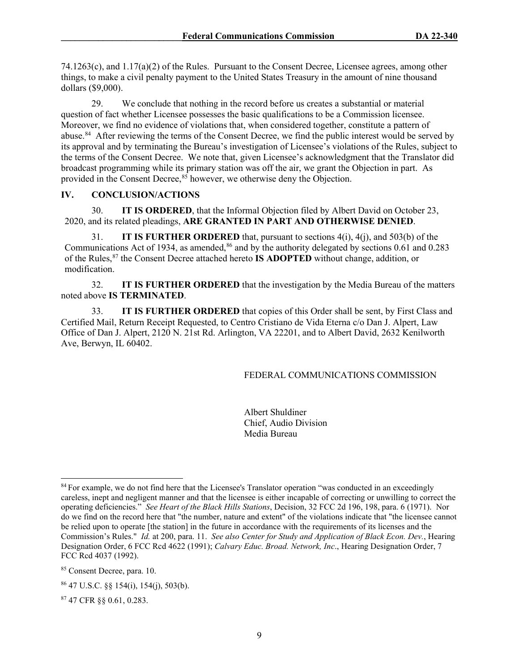74.1263(c), and 1.17(a)(2) of the Rules. Pursuant to the Consent Decree, Licensee agrees, among other things, to make a civil penalty payment to the United States Treasury in the amount of nine thousand dollars (\$9,000).

29. We conclude that nothing in the record before us creates a substantial or material question of fact whether Licensee possesses the basic qualifications to be a Commission licensee. Moreover, we find no evidence of violations that, when considered together, constitute a pattern of abuse.[84](#page-8-0) After reviewing the terms of the Consent Decree, we find the public interest would be served by its approval and by terminating the Bureau's investigation of Licensee's violations of the Rules, subject to the terms of the Consent Decree. We note that, given Licensee's acknowledgment that the Translator did broadcast programming while its primary station was off the air, we grant the Objection in part. As provided in the Consent Decree,  $85$  however, we otherwise deny the Objection.

# **IV. CONCLUSION/ACTIONS**

30. **IT IS ORDERED**, that the Informal Objection filed by Albert David on October 23, 2020, and its related pleadings, **ARE GRANTED IN PART AND OTHERWISE DENIED**.

31. **IT IS FURTHER ORDERED** that, pursuant to sections 4(i), 4(j), and 503(b) of the Communications Act of 1934, as amended, $86$  and by the authority delegated by sections 0.61 and 0.283 of the Rules,[87](#page-8-3) the Consent Decree attached hereto **IS ADOPTED** without change, addition, or modification.

32. **IT IS FURTHER ORDERED** that the investigation by the Media Bureau of the matters noted above **IS TERMINATED**.

33. **IT IS FURTHER ORDERED** that copies of this Order shall be sent, by First Class and Certified Mail, Return Receipt Requested, to Centro Cristiano de Vida Eterna c/o Dan J. Alpert, Law Office of Dan J. Alpert, 2120 N. 21st Rd. Arlington, VA 22201, and to Albert David, 2632 Kenilworth Ave, Berwyn, IL 60402.

### FEDERAL COMMUNICATIONS COMMISSION

Albert Shuldiner Chief, Audio Division Media Bureau

<span id="page-8-3"></span><sup>87</sup> 47 CFR §§ 0.61, 0.283.

<span id="page-8-0"></span><sup>&</sup>lt;sup>84</sup> For example, we do not find here that the Licensee's Translator operation "was conducted in an exceedingly careless, inept and negligent manner and that the licensee is either incapable of correcting or unwilling to correct the operating deficiencies." *See Heart of the Black Hills Stations*, Decision, 32 FCC 2d 196, 198, para. 6 (1971). Nor do we find on the record here that "the number, nature and extent" of the violations indicate that "the licensee cannot be relied upon to operate [the station] in the future in accordance with the requirements of its licenses and the Commission's Rules." *Id.* at 200, para. 11. *See also Center for Study and Application of Black Econ. Dev.*, Hearing Designation Order, 6 FCC Rcd 4622 (1991); *Calvary Educ. Broad. Network, Inc*., Hearing Designation Order, 7 FCC Rcd 4037 (1992).

<span id="page-8-1"></span><sup>85</sup> Consent Decree, para. 10.

<span id="page-8-2"></span> $86$  47 U.S.C. §§ 154(i), 154(j), 503(b).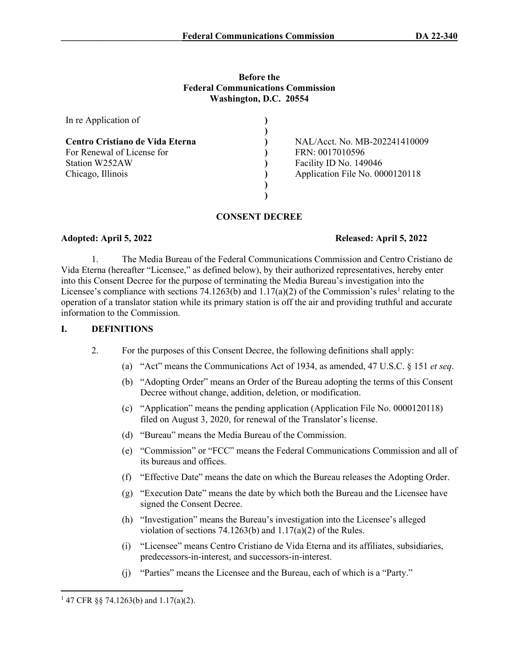## **Before the Federal Communications Commission Washington, D.C. 20554**

| In re Application of            |                                 |
|---------------------------------|---------------------------------|
|                                 |                                 |
| Centro Cristiano de Vida Eterna | NAL/Acct. No. MB-202241410009   |
| For Renewal of License for      | FRN: 0017010596                 |
| Station W252AW                  | Facility ID No. 149046          |
| Chicago, Illinois               | Application File No. 0000120118 |
|                                 |                                 |
|                                 |                                 |

# **CONSENT DECREE**

# **Adopted: April 5, 2022 Released: April 5, 2022**

1. The Media Bureau of the Federal Communications Commission and Centro Cristiano de Vida Eterna (hereafter "Licensee," as defined below), by their authorized representatives, hereby enter into this Consent Decree for the purpose of terminating the Media Bureau's investigation into the Licensee's compliance with sections 74.[1](#page-9-0)263(b) and  $1.17(a)(2)$  of the Commission's rules<sup>1</sup> relating to the operation of a translator station while its primary station is off the air and providing truthful and accurate information to the Commission.

## **I. DEFINITIONS**

- 2. For the purposes of this Consent Decree, the following definitions shall apply:
	- (a) "Act" means the Communications Act of 1934, as amended, 47 U.S.C. § 151 *et seq*.
	- (b) "Adopting Order" means an Order of the Bureau adopting the terms of this Consent Decree without change, addition, deletion, or modification.
	- (c) "Application" means the pending application (Application File No. 0000120118) filed on August 3, 2020, for renewal of the Translator's license.
	- (d) "Bureau" means the Media Bureau of the Commission.
	- (e) "Commission" or "FCC" means the Federal Communications Commission and all of its bureaus and offices.
	- (f) "Effective Date" means the date on which the Bureau releases the Adopting Order.
	- (g) "Execution Date" means the date by which both the Bureau and the Licensee have signed the Consent Decree.
	- (h) "Investigation" means the Bureau's investigation into the Licensee's alleged violation of sections 74.1263(b) and 1.17(a)(2) of the Rules.
	- (i) "Licensee" means Centro Cristiano de Vida Eterna and its affiliates, subsidiaries, predecessors-in-interest, and successors-in-interest.
	- (j) "Parties" means the Licensee and the Bureau, each of which is a "Party."

<span id="page-9-0"></span><sup>1</sup> 47 CFR §§ 74.1263(b) and 1.17(a)(2).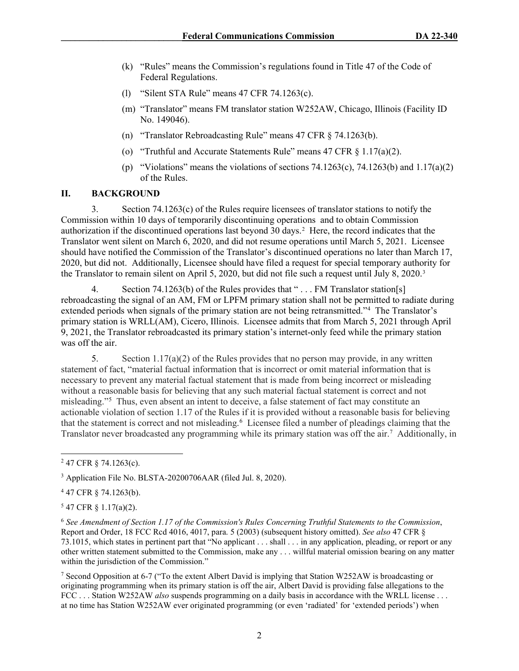- (k) "Rules" means the Commission's regulations found in Title 47 of the Code of Federal Regulations.
- (l) "Silent STA Rule" means 47 CFR 74.1263(c).
- (m) "Translator" means FM translator station W252AW, Chicago, Illinois (Facility ID No. 149046).
- (n) "Translator Rebroadcasting Rule" means 47 CFR § 74.1263(b).
- (o) "Truthful and Accurate Statements Rule" means 47 CFR § 1.17(a)(2).
- (p) "Violations" means the violations of sections 74.1263(c), 74.1263(b) and 1.17(a)(2) of the Rules.

# **II. BACKGROUND**

3. Section 74.1263(c) of the Rules require licensees of translator stations to notify the Commission within 10 days of temporarily discontinuing operations and to obtain Commission authorization if the discontinued operations last beyond 30 days.[2](#page-10-0) Here, the record indicates that the Translator went silent on March 6, 2020, and did not resume operations until March 5, 2021. Licensee should have notified the Commission of the Translator's discontinued operations no later than March 17, 2020, but did not. Additionally, Licensee should have filed a request for special temporary authority for the Translator to remain silent on April 5, 2020, but did not file such a request until July 8, 2020.[3](#page-10-1)

4. Section 74.1263(b) of the Rules provides that "... FM Translator station[s] rebroadcasting the signal of an AM, FM or LPFM primary station shall not be permitted to radiate during extended periods when signals of the primary station are not being retransmitted."<sup>[4](#page-10-2)</sup> The Translator's primary station is WRLL(AM), Cicero, Illinois. Licensee admits that from March 5, 2021 through April 9, 2021, the Translator rebroadcasted its primary station's internet-only feed while the primary station was off the air.

5. Section 1.17(a)(2) of the Rules provides that no person may provide, in any written statement of fact, "material factual information that is incorrect or omit material information that is necessary to prevent any material factual statement that is made from being incorrect or misleading without a reasonable basis for believing that any such material factual statement is correct and not misleading.["5](#page-10-3) Thus, even absent an intent to deceive, a false statement of fact may constitute an actionable violation of section 1.17 of the Rules if it is provided without a reasonable basis for believing that the statement is correct and not misleading.<sup>[6](#page-10-4)</sup> Licensee filed a number of pleadings claiming that the Translator never broadcasted any programming while its primary station was off the air. [7](#page-10-5) Additionally, in

<span id="page-10-0"></span><sup>2</sup> 47 CFR § 74.1263(c).

<span id="page-10-1"></span><sup>&</sup>lt;sup>3</sup> Application File No. BLSTA-20200706AAR (filed Jul. 8, 2020).

<span id="page-10-2"></span><sup>4</sup> 47 CFR § 74.1263(b).

<span id="page-10-3"></span> $5$  47 CFR § 1.17(a)(2).

<span id="page-10-4"></span><sup>6</sup> *See Amendment of Section 1.17 of the Commission's Rules Concerning Truthful Statements to the Commission*, Report and Order, 18 FCC Rcd 4016, 4017, para. 5 (2003) (subsequent history omitted). *See also* 47 CFR § 73.1015, which states in pertinent part that "No applicant . . . shall . . . in any application, pleading, or report or any other written statement submitted to the Commission, make any . . . willful material omission bearing on any matter within the jurisdiction of the Commission."

<span id="page-10-5"></span><sup>7</sup> Second Opposition at 6-7 ("To the extent Albert David is implying that Station W252AW is broadcasting or originating programming when its primary station is off the air, Albert David is providing false allegations to the FCC . . . Station W252AW *also* suspends programming on a daily basis in accordance with the WRLL license . . . at no time has Station W252AW ever originated programming (or even 'radiated' for 'extended periods') when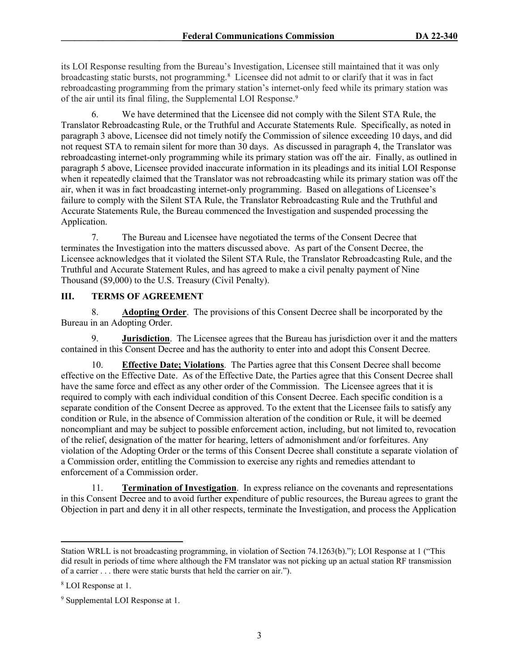its LOI Response resulting from the Bureau's Investigation, Licensee still maintained that it was only broadcasting static bursts, not programming.<sup>[8](#page-11-0)</sup> Licensee did not admit to or clarify that it was in fact rebroadcasting programming from the primary station's internet-only feed while its primary station was of the air until its final filing, the Supplemental LOI Response.<sup>[9](#page-11-1)</sup>

6. We have determined that the Licensee did not comply with the Silent STA Rule, the Translator Rebroadcasting Rule, or the Truthful and Accurate Statements Rule. Specifically, as noted in paragraph 3 above, Licensee did not timely notify the Commission of silence exceeding 10 days, and did not request STA to remain silent for more than 30 days. As discussed in paragraph 4, the Translator was rebroadcasting internet-only programming while its primary station was off the air. Finally, as outlined in paragraph 5 above, Licensee provided inaccurate information in its pleadings and its initial LOI Response when it repeatedly claimed that the Translator was not rebroadcasting while its primary station was off the air, when it was in fact broadcasting internet-only programming. Based on allegations of Licensee's failure to comply with the Silent STA Rule, the Translator Rebroadcasting Rule and the Truthful and Accurate Statements Rule, the Bureau commenced the Investigation and suspended processing the Application.

7. The Bureau and Licensee have negotiated the terms of the Consent Decree that terminates the Investigation into the matters discussed above. As part of the Consent Decree, the Licensee acknowledges that it violated the Silent STA Rule, the Translator Rebroadcasting Rule, and the Truthful and Accurate Statement Rules, and has agreed to make a civil penalty payment of Nine Thousand (\$9,000) to the U.S. Treasury (Civil Penalty).

# **III. TERMS OF AGREEMENT**

8. **Adopting Order**.The provisions of this Consent Decree shall be incorporated by the Bureau in an Adopting Order.

9. **Jurisdiction**. The Licensee agrees that the Bureau has jurisdiction over it and the matters contained in this Consent Decree and has the authority to enter into and adopt this Consent Decree.

10. **Effective Date; Violations**. The Parties agree that this Consent Decree shall become effective on the Effective Date. As of the Effective Date, the Parties agree that this Consent Decree shall have the same force and effect as any other order of the Commission. The Licensee agrees that it is required to comply with each individual condition of this Consent Decree. Each specific condition is a separate condition of the Consent Decree as approved. To the extent that the Licensee fails to satisfy any condition or Rule, in the absence of Commission alteration of the condition or Rule, it will be deemed noncompliant and may be subject to possible enforcement action, including, but not limited to, revocation of the relief, designation of the matter for hearing, letters of admonishment and/or forfeitures. Any violation of the Adopting Order or the terms of this Consent Decree shall constitute a separate violation of a Commission order, entitling the Commission to exercise any rights and remedies attendant to enforcement of a Commission order.

11. **Termination of Investigation**.In express reliance on the covenants and representations in this Consent Decree and to avoid further expenditure of public resources, the Bureau agrees to grant the Objection in part and deny it in all other respects, terminate the Investigation, and process the Application

Station WRLL is not broadcasting programming, in violation of Section 74.1263(b)."); LOI Response at 1 ("This did result in periods of time where although the FM translator was not picking up an actual station RF transmission of a carrier . . . there were static bursts that held the carrier on air.").

<span id="page-11-0"></span><sup>8</sup> LOI Response at 1.

<span id="page-11-1"></span><sup>9</sup> Supplemental LOI Response at 1.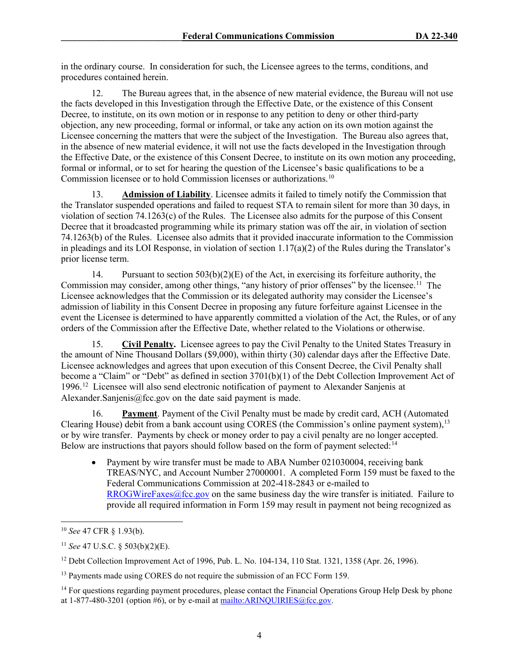in the ordinary course. In consideration for such, the Licensee agrees to the terms, conditions, and procedures contained herein.

12. The Bureau agrees that, in the absence of new material evidence, the Bureau will not use the facts developed in this Investigation through the Effective Date, or the existence of this Consent Decree, to institute, on its own motion or in response to any petition to deny or other third-party objection, any new proceeding, formal or informal, or take any action on its own motion against the Licensee concerning the matters that were the subject of the Investigation. The Bureau also agrees that, in the absence of new material evidence, it will not use the facts developed in the Investigation through the Effective Date, or the existence of this Consent Decree, to institute on its own motion any proceeding, formal or informal, or to set for hearing the question of the Licensee's basic qualifications to be a Commission licensee or to hold Commission licenses or authorizations[.10](#page-12-0)

Admission of Liability. Licensee admits it failed to timely notify the Commission that the Translator suspended operations and failed to request STA to remain silent for more than 30 days, in violation of section 74.1263(c) of the Rules. The Licensee also admits for the purpose of this Consent Decree that it broadcasted programming while its primary station was off the air, in violation of section 74.1263(b) of the Rules. Licensee also admits that it provided inaccurate information to the Commission in pleadings and its LOI Response, in violation of section  $1.17(a)(2)$  of the Rules during the Translator's prior license term.

14. Pursuant to section 503(b)(2)(E) of the Act, in exercising its forfeiture authority, the Commission may consider, among other things, "any history of prior offenses" by the licensee.<sup>[11](#page-12-1)</sup> The Licensee acknowledges that the Commission or its delegated authority may consider the Licensee's admission of liability in this Consent Decree in proposing any future forfeiture against Licensee in the event the Licensee is determined to have apparently committed a violation of the Act, the Rules, or of any orders of the Commission after the Effective Date, whether related to the Violations or otherwise.

15. **Civil Penalty.** Licensee agrees to pay the Civil Penalty to the United States Treasury in the amount of Nine Thousand Dollars (\$9,000), within thirty (30) calendar days after the Effective Date. Licensee acknowledges and agrees that upon execution of this Consent Decree, the Civil Penalty shall become a "Claim" or "Debt" as defined in section 3701(b)(1) of the Debt Collection Improvement Act of 1996.[12](#page-12-2) Licensee will also send electronic notification of payment to Alexander Sanjenis at Alexander.Sanjenis@fcc.gov on the date said payment is made.

16. **Payment**. Payment of the Civil Penalty must be made by credit card, ACH (Automated Clearing House) debit from a bank account using CORES (the Commission's online payment system), <sup>[13](#page-12-3)</sup> or by wire transfer. Payments by check or money order to pay a civil penalty are no longer accepted. Below are instructions that payors should follow based on the form of payment selected:<sup>14</sup>

• Payment by wire transfer must be made to ABA Number 021030004, receiving bank TREAS/NYC, and Account Number 27000001. A completed Form 159 must be faxed to the Federal Communications Commission at 202-418-2843 or e-mailed to  $RROGWireFaxes@fcc.gov$  on the same business day the wire transfer is initiated. Failure to provide all required information in Form 159 may result in payment not being recognized as

<span id="page-12-0"></span><sup>10</sup> *See* 47 CFR § 1.93(b).

<span id="page-12-1"></span><sup>11</sup> *See* 47 U.S.C. § 503(b)(2)(E).

<span id="page-12-2"></span><sup>&</sup>lt;sup>12</sup> Debt Collection Improvement Act of 1996, Pub. L. No. 104-134, 110 Stat. 1321, 1358 (Apr. 26, 1996).

<span id="page-12-3"></span><sup>&</sup>lt;sup>13</sup> Payments made using CORES do not require the submission of an FCC Form 159.

<span id="page-12-4"></span><sup>&</sup>lt;sup>14</sup> For questions regarding payment procedures, please contact the Financial Operations Group Help Desk by phone at 1-877-480-3201 (option #6), or by e-mail at [mailto:ARINQUIRIES@fcc.gov.](mailto:ARINQUIRIES@fcc.gov)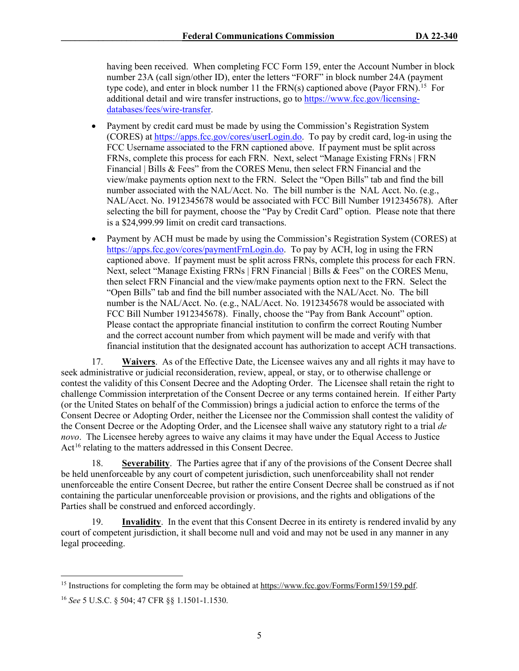having been received. When completing FCC Form 159, enter the Account Number in block number 23A (call sign/other ID), enter the letters "FORF" in block number 24A (payment type code), and enter in block number 11 the  $FRN(s)$  captioned above (Payor  $FRN$ ).<sup>15</sup> For additional detail and wire transfer instructions, go to [https://www.fcc.gov/licensing](https://www.fcc.gov/licensing-databases/fees/wire-transfer)[databases/fees/wire-transfer.](https://www.fcc.gov/licensing-databases/fees/wire-transfer)

- Payment by credit card must be made by using the Commission's Registration System (CORES) at [https://apps.fcc.gov/cores/userLogin.do.](https://apps.fcc.gov/cores/userLogin.do) To pay by credit card, log-in using the FCC Username associated to the FRN captioned above. If payment must be split across FRNs, complete this process for each FRN. Next, select "Manage Existing FRNs | FRN Financial | Bills & Fees" from the CORES Menu, then select FRN Financial and the view/make payments option next to the FRN. Select the "Open Bills" tab and find the bill number associated with the NAL/Acct. No. The bill number is the NAL Acct. No. (e.g., NAL/Acct. No. 1912345678 would be associated with FCC Bill Number 1912345678). After selecting the bill for payment, choose the "Pay by Credit Card" option. Please note that there is a \$24,999.99 limit on credit card transactions.
- Payment by ACH must be made by using the Commission's Registration System (CORES) at [https://apps.fcc.gov/cores/paymentFrnLogin.do.](https://apps.fcc.gov/cores/paymentFrnLogin.do) To pay by ACH, log in using the FRN captioned above. If payment must be split across FRNs, complete this process for each FRN. Next, select "Manage Existing FRNs | FRN Financial | Bills & Fees" on the CORES Menu, then select FRN Financial and the view/make payments option next to the FRN. Select the "Open Bills" tab and find the bill number associated with the NAL/Acct. No. The bill number is the NAL/Acct. No. (e.g., NAL/Acct. No. 1912345678 would be associated with FCC Bill Number 1912345678). Finally, choose the "Pay from Bank Account" option. Please contact the appropriate financial institution to confirm the correct Routing Number and the correct account number from which payment will be made and verify with that financial institution that the designated account has authorization to accept ACH transactions.

17. **Waivers**. As of the Effective Date, the Licensee waives any and all rights it may have to seek administrative or judicial reconsideration, review, appeal, or stay, or to otherwise challenge or contest the validity of this Consent Decree and the Adopting Order. The Licensee shall retain the right to challenge Commission interpretation of the Consent Decree or any terms contained herein. If either Party (or the United States on behalf of the Commission) brings a judicial action to enforce the terms of the Consent Decree or Adopting Order, neither the Licensee nor the Commission shall contest the validity of the Consent Decree or the Adopting Order, and the Licensee shall waive any statutory right to a trial *de novo*. The Licensee hereby agrees to waive any claims it may have under the Equal Access to Justice Act<sup>[16](#page-13-1)</sup> relating to the matters addressed in this Consent Decree.

18. **Severability**. The Parties agree that if any of the provisions of the Consent Decree shall be held unenforceable by any court of competent jurisdiction, such unenforceability shall not render unenforceable the entire Consent Decree, but rather the entire Consent Decree shall be construed as if not containing the particular unenforceable provision or provisions, and the rights and obligations of the Parties shall be construed and enforced accordingly.

19. **Invalidity**. In the event that this Consent Decree in its entirety is rendered invalid by any court of competent jurisdiction, it shall become null and void and may not be used in any manner in any legal proceeding.

<span id="page-13-0"></span><sup>&</sup>lt;sup>15</sup> Instructions for completing the form may be obtained at [https://www.fcc.gov/Forms/Form159/159.pdf.](https://www.fcc.gov/Forms/Form159/159.pdf)

<span id="page-13-1"></span><sup>16</sup> *See* 5 U.S.C. § 504; 47 CFR §§ 1.1501-1.1530.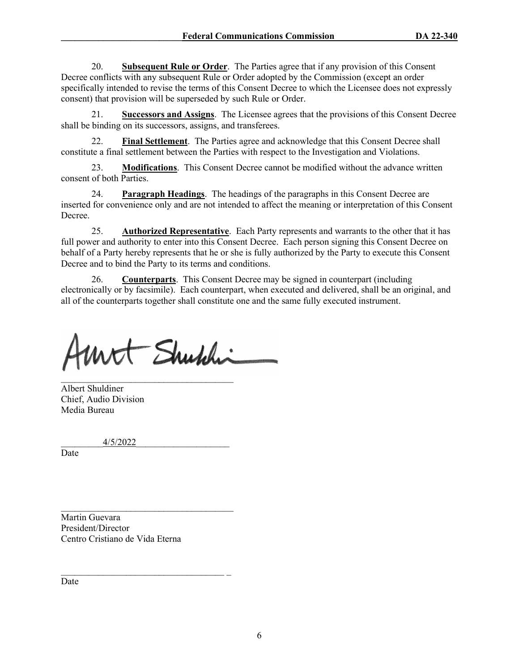20. **Subsequent Rule or Order**. The Parties agree that if any provision of this Consent Decree conflicts with any subsequent Rule or Order adopted by the Commission (except an order specifically intended to revise the terms of this Consent Decree to which the Licensee does not expressly consent) that provision will be superseded by such Rule or Order.

21. **Successors and Assigns**.The Licensee agrees that the provisions of this Consent Decree shall be binding on its successors, assigns, and transferees.

Final Settlement. The Parties agree and acknowledge that this Consent Decree shall constitute a final settlement between the Parties with respect to the Investigation and Violations.

23. **Modifications**. This Consent Decree cannot be modified without the advance written consent of both Parties.

24. **Paragraph Headings**. The headings of the paragraphs in this Consent Decree are inserted for convenience only and are not intended to affect the meaning or interpretation of this Consent Decree.

25. **Authorized Representative**. Each Party represents and warrants to the other that it has full power and authority to enter into this Consent Decree. Each person signing this Consent Decree on behalf of a Party hereby represents that he or she is fully authorized by the Party to execute this Consent Decree and to bind the Party to its terms and conditions.

26. **Counterparts**. This Consent Decree may be signed in counterpart (including electronically or by facsimile). Each counterpart, when executed and delivered, shall be an original, and all of the counterparts together shall constitute one and the same fully executed instrument.

- Shubhi

\_\_\_\_\_\_\_\_\_\_\_\_\_\_\_\_\_\_\_\_\_\_\_\_\_\_\_\_\_\_\_\_\_\_\_\_\_ Albert Shuldiner Chief, Audio Division Media Bureau

\_\_\_\_\_\_\_\_\_4/5/2022\_\_\_\_\_\_\_\_\_\_\_\_\_\_\_\_\_\_\_\_

Date

Martin Guevara President/Director Centro Cristiano de Vida Eterna

 $\mathcal{L}_\text{max}$  , and the set of the set of the set of the set of the set of the set of the set of the set of the set of the set of the set of the set of the set of the set of the set of the set of the set of the set of the

\_\_\_\_\_\_\_\_\_\_\_\_\_\_\_\_\_\_\_\_\_\_\_\_\_\_\_\_\_\_\_\_\_\_\_ \_

Date